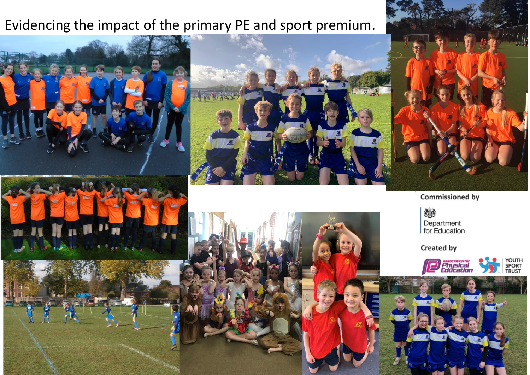## Evidencing the impact of the primary PE and sport premium.



燃 Department<br>for Education

**Created by** 





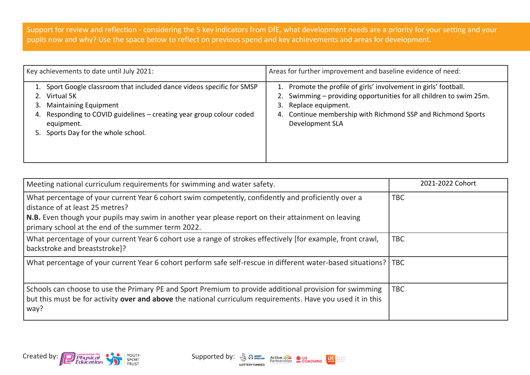Support for review and reflection - considering the 5 key indicators from DfE, what development needs are a priority for your setting and your pupils now and why? Use the space below to reflect on previous spend and key achievements and areas for development.

| Key achievements to date until July 2021: |                                                                                                                                                                                                      | Areas for further improvement and baseline evidence of need:                                                                                                                                                                                              |  |  |
|-------------------------------------------|------------------------------------------------------------------------------------------------------------------------------------------------------------------------------------------------------|-----------------------------------------------------------------------------------------------------------------------------------------------------------------------------------------------------------------------------------------------------------|--|--|
| 3.                                        | Sport Google classroom that included dance videos specific for SMSP<br>Virtual 5K<br><b>Maintaining Equipment</b><br>Responding to COVID guidelines - creating year group colour coded<br>equipment. | 1. Promote the profile of girls' involvement in girls' football.<br>2. Swimming – providing opportunities for all children to swim 25m.<br>Replace equipment.<br>3.<br>Continue membership with Richmond SSP and Richmond Sports<br>4.<br>Development SLA |  |  |
|                                           | Sports Day for the whole school.                                                                                                                                                                     |                                                                                                                                                                                                                                                           |  |  |

| Meeting national curriculum requirements for swimming and water safety.                                                                                                                                                                                                                            | 2021-2022 Cohort |
|----------------------------------------------------------------------------------------------------------------------------------------------------------------------------------------------------------------------------------------------------------------------------------------------------|------------------|
| What percentage of your current Year 6 cohort swim competently, confidently and proficiently over a<br>distance of at least 25 metres?<br>N.B. Even though your pupils may swim in another year please report on their attainment on leaving<br>primary school at the end of the summer term 2022. | <b>TBC</b>       |
| What percentage of your current Year 6 cohort use a range of strokes effectively [for example, front crawl,<br>backstroke and breaststroke]?                                                                                                                                                       | <b>TBC</b>       |
| What percentage of your current Year 6 cohort perform safe self-rescue in different water-based situations?   TBC                                                                                                                                                                                  |                  |
| Schools can choose to use the Primary PE and Sport Premium to provide additional provision for swimming<br>but this must be for activity over and above the national curriculum requirements. Have you used it in this<br>way?                                                                     | <b>TBC</b>       |



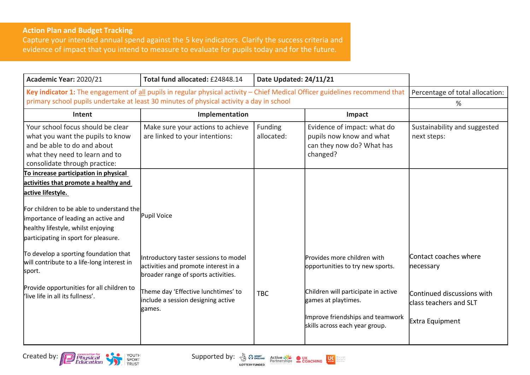## **Action Plan and Budget Tracking**

Capture your intended annual spend against the 5 key indicators. Clarify the success criteria and evidence of impact that you intend to measure to evaluate for pupils today and for the future.

| Academic Year: 2020/21                                                                                                                                                  | Total fund allocated: £24848.14                                                                                      | Date Updated: 24/11/21 |                                                                                                                                  |                                                                         |
|-------------------------------------------------------------------------------------------------------------------------------------------------------------------------|----------------------------------------------------------------------------------------------------------------------|------------------------|----------------------------------------------------------------------------------------------------------------------------------|-------------------------------------------------------------------------|
| Key indicator 1: The engagement of all pupils in regular physical activity - Chief Medical Officer guidelines recommend that                                            |                                                                                                                      |                        | Percentage of total allocation:                                                                                                  |                                                                         |
| primary school pupils undertake at least 30 minutes of physical activity a day in school                                                                                |                                                                                                                      |                        |                                                                                                                                  | %                                                                       |
| Intent                                                                                                                                                                  | Implementation                                                                                                       |                        | Impact                                                                                                                           |                                                                         |
| Your school focus should be clear<br>what you want the pupils to know<br>and be able to do and about<br>what they need to learn and to<br>consolidate through practice: | Make sure your actions to achieve<br>are linked to your intentions:                                                  | Funding<br>allocated:  | Evidence of impact: what do<br>pupils now know and what<br>can they now do? What has<br>changed?                                 | Sustainability and suggested<br>next steps:                             |
| To increase participation in physical                                                                                                                                   |                                                                                                                      |                        |                                                                                                                                  |                                                                         |
| activities that promote a healthy and                                                                                                                                   |                                                                                                                      |                        |                                                                                                                                  |                                                                         |
| active lifestyle.                                                                                                                                                       |                                                                                                                      |                        |                                                                                                                                  |                                                                         |
| For children to be able to understand the<br>importance of leading an active and<br>healthy lifestyle, whilst enjoying<br>participating in sport for pleasure.          | Pupil Voice                                                                                                          |                        |                                                                                                                                  |                                                                         |
| To develop a sporting foundation that<br>will contribute to a life-long interest in<br>sport.                                                                           | Introductory taster sessions to model<br>activities and promote interest in a<br>broader range of sports activities. |                        | Provides more children with<br>opportunities to try new sports.                                                                  | Contact coaches where<br>necessary                                      |
| Provide opportunities for all children to<br>l'live life in all its fullness'.                                                                                          | Theme day 'Effective lunchtimes' to<br>include a session designing active<br>games.                                  | <b>TBC</b>             | Children will participate in active<br>games at playtimes.<br>Improve friendships and teamwork<br>skills across each year group. | Continued discussions with<br>class teachers and SLT<br>Extra Equipment |

Created by: Physical Physical Supported by:  $\frac{1}{2}$  Contention by:  $\frac{1}{2}$  Contention Bullet Concrete Concerns Extensive Concerns Extensive Concerns Extensive Concerns Extensive Concerns Extensive Concerns Extensive Co



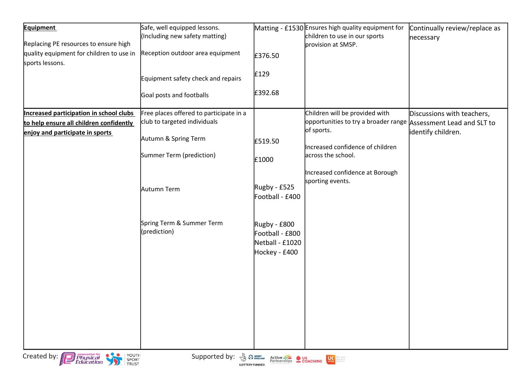| <b>Equipment</b><br>Replacing PE resources to ensure high<br>quality equipment for children to use in<br>sports lessons. | Safe, well equipped lessons.<br>(Including new safety matting)<br>Reception outdoor area equipment<br>Equipment safety check and repairs<br>Goal posts and footballs | £376.50<br>£129<br>£392.68                                          | Matting - £1530 Ensures high quality equipment for<br>children to use in our sports<br>provision at SMSP.                                                                 | Continually review/replace as<br>necessary       |
|--------------------------------------------------------------------------------------------------------------------------|----------------------------------------------------------------------------------------------------------------------------------------------------------------------|---------------------------------------------------------------------|---------------------------------------------------------------------------------------------------------------------------------------------------------------------------|--------------------------------------------------|
| Increased participation in school clubs<br>to help ensure all children confidently<br>enjoy and participate in sports    | Free places offered to participate in a<br>club to targeted individuals<br>Autumn & Spring Term<br>Summer Term (prediction)                                          | £519.50                                                             | Children will be provided with<br>opportunities to try a broader range Assessment Lead and SLT to<br>of sports.<br>Increased confidence of children<br>across the school. | Discussions with teachers,<br>identify children. |
|                                                                                                                          | Autumn Term                                                                                                                                                          | £1000<br>Rugby - £525<br>Football - £400                            | Increased confidence at Borough<br>sporting events.                                                                                                                       |                                                  |
|                                                                                                                          | Spring Term & Summer Term<br>(prediction)                                                                                                                            | Rugby - £800<br>Football - £800<br>Netball - £1020<br>Hockey - £400 |                                                                                                                                                                           |                                                  |
|                                                                                                                          |                                                                                                                                                                      |                                                                     |                                                                                                                                                                           |                                                  |
| Created by: <b>Physical</b><br>Education<br>YOUTH<br>SPORT<br>TRUST                                                      | Supported by: & Pr SPORT ADDRESS ON DV.<br><b>LOTTERY FUNDED</b>                                                                                                     | Active NE UK<br>Partnerships COACHING                               | <b>ON MARKETING</b>                                                                                                                                                       |                                                  |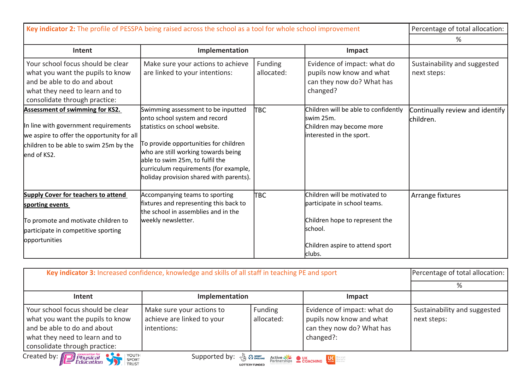| Key indicator 2: The profile of PESSPA being raised across the school as a tool for whole school improvement                                                                          | Percentage of total allocation:                                                                                                                                                                                                                                                                             |                       |                                                                                                                                                          |                                               |
|---------------------------------------------------------------------------------------------------------------------------------------------------------------------------------------|-------------------------------------------------------------------------------------------------------------------------------------------------------------------------------------------------------------------------------------------------------------------------------------------------------------|-----------------------|----------------------------------------------------------------------------------------------------------------------------------------------------------|-----------------------------------------------|
|                                                                                                                                                                                       |                                                                                                                                                                                                                                                                                                             |                       |                                                                                                                                                          | %                                             |
| Intent                                                                                                                                                                                | Implementation                                                                                                                                                                                                                                                                                              |                       | Impact                                                                                                                                                   |                                               |
| Your school focus should be clear<br>what you want the pupils to know<br>and be able to do and about<br>what they need to learn and to<br>consolidate through practice:               | Make sure your actions to achieve<br>are linked to your intentions:                                                                                                                                                                                                                                         | Funding<br>allocated: | Evidence of impact: what do<br>pupils now know and what<br>can they now do? What has<br>changed?                                                         | Sustainability and suggested<br>next steps:   |
| <b>Assessment of swimming for KS2.</b><br>In line with government requirements<br>we aspire to offer the opportunity for all<br>children to be able to swim 25m by the<br>end of KS2. | Swimming assessment to be inputted<br>onto school system and record<br>statistics on school website.<br>To provide opportunities for children<br>who are still working towards being<br>able to swim 25m, to fulfil the<br>curriculum requirements (for example,<br>holiday provision shared with parents). | lтвс                  | Children will be able to confidently<br>swim 25m.<br>Children may become more<br>interested in the sport.                                                | Continually review and identify<br>lchildren. |
| <b>Supply Cover for teachers to attend</b><br>sporting events<br>To promote and motivate children to<br>participate in competitive sporting<br>opportunities                          | Accompanying teams to sporting<br>fixtures and representing this back to<br>the school in assemblies and in the<br>weekly newsletter.                                                                                                                                                                       | Твс                   | Children will be motivated to<br>participate in school teams.<br>Children hope to represent the<br>lschool.<br>Children aspire to attend sport<br>clubs. | Arrange fixtures                              |

| Key indicator 3: Increased confidence, knowledge and skills of all staff in teaching PE and sport                                                                                                                 |                                                                        |                       |                                                                                                   | Percentage of total allocation:             |  |
|-------------------------------------------------------------------------------------------------------------------------------------------------------------------------------------------------------------------|------------------------------------------------------------------------|-----------------------|---------------------------------------------------------------------------------------------------|---------------------------------------------|--|
|                                                                                                                                                                                                                   |                                                                        |                       |                                                                                                   |                                             |  |
| Intent                                                                                                                                                                                                            | Implementation                                                         |                       | Impact                                                                                            |                                             |  |
| Your school focus should be clear<br>what you want the pupils to know<br>and be able to do and about<br>what they need to learn and to<br>consolidate through practice:                                           | Make sure your actions to<br>achieve are linked to your<br>intentions: | Funding<br>allocated: | Evidence of impact: what do<br>pupils now know and what<br>can they now do? What has<br>changed?: | Sustainability and suggested<br>next steps: |  |
| Created by: Education for SPORT SPORT<br>Supported by: $\frac{1}{2}$ $\frac{1}{2}$ $\frac{1}{2}$ active $\frac{1}{2}$ <b>C</b> $\frac{1}{2}$ <b>C</b> $\frac{1}{2}$ <b>C</b> $\frac{1}{2}$ <b>C</b> $\frac{1}{2}$ |                                                                        |                       |                                                                                                   |                                             |  |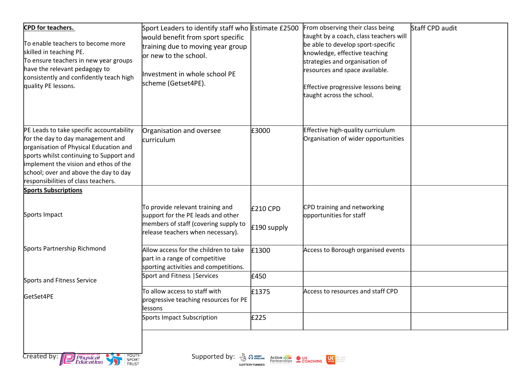| CPD for teachers.<br>To enable teachers to become more<br>skilled in teaching PE.<br>To ensure teachers in new year groups<br>have the relevant pedagogy to<br>consistently and confidently teach high<br>quality PE lessons.                                                               | Sport Leaders to identify staff who Estimate £2500<br>would benefit from sport specific<br>training due to moving year group<br>or new to the school.<br>Investment in whole school PE<br>scheme (Getset4PE). |                                | From observing their class being<br>taught by a coach, class teachers will<br>be able to develop sport-specific<br>knowledge, effective teaching<br>strategies and organisation of<br>resources and space available.<br>Effective progressive lessons being<br>taught across the school. | Staff CPD audit |
|---------------------------------------------------------------------------------------------------------------------------------------------------------------------------------------------------------------------------------------------------------------------------------------------|---------------------------------------------------------------------------------------------------------------------------------------------------------------------------------------------------------------|--------------------------------|------------------------------------------------------------------------------------------------------------------------------------------------------------------------------------------------------------------------------------------------------------------------------------------|-----------------|
| PE Leads to take specific accountability<br>for the day to day management and<br>organisation of Physical Education and<br>sports whilst continuing to Support and<br>implement the vision and ethos of the<br>school; over and above the day to day<br>responsibilities of class teachers. | Organisation and oversee<br>curriculum                                                                                                                                                                        | £3000                          | Effective high-quality curriculum<br>Organisation of wider opportunities                                                                                                                                                                                                                 |                 |
| <b>Sports Subscriptions</b>                                                                                                                                                                                                                                                                 |                                                                                                                                                                                                               |                                |                                                                                                                                                                                                                                                                                          |                 |
| Sports Impact                                                                                                                                                                                                                                                                               | To provide relevant training and<br>support for the PE leads and other<br>members of staff (covering supply to<br>release teachers when necessary).                                                           | <b>£210 CPD</b><br>£190 supply | CPD training and networking<br>opportunities for staff                                                                                                                                                                                                                                   |                 |
| Sports Partnership Richmond                                                                                                                                                                                                                                                                 | Allow access for the children to take<br>part in a range of competitive<br>sporting activities and competitions.                                                                                              | £1300                          | Access to Borough organised events                                                                                                                                                                                                                                                       |                 |
| Sports and Fitness Service                                                                                                                                                                                                                                                                  | Sport and Fitness   Services                                                                                                                                                                                  | £450                           |                                                                                                                                                                                                                                                                                          |                 |
| GetSet4PE                                                                                                                                                                                                                                                                                   | To allow access to staff with<br>progressive teaching resources for PE<br>lessons                                                                                                                             | £1375                          | Access to resources and staff CPD                                                                                                                                                                                                                                                        |                 |
|                                                                                                                                                                                                                                                                                             | <b>Sports Impact Subscription</b>                                                                                                                                                                             | £225                           |                                                                                                                                                                                                                                                                                          |                 |
|                                                                                                                                                                                                                                                                                             |                                                                                                                                                                                                               |                                |                                                                                                                                                                                                                                                                                          |                 |

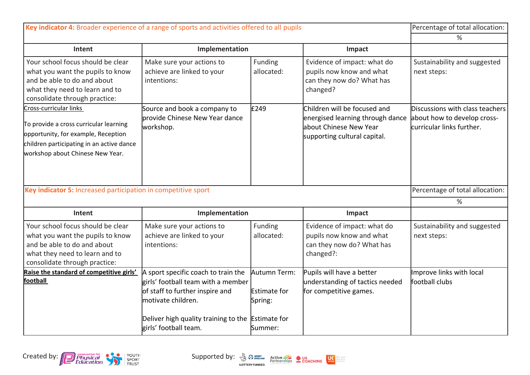| Key indicator 4: Broader experience of a range of sports and activities offered to all pupils                                                                                            |                                                                                                                                                                                                                  |                                                            |                                                                                                                            | Percentage of total allocation:                                                             |
|------------------------------------------------------------------------------------------------------------------------------------------------------------------------------------------|------------------------------------------------------------------------------------------------------------------------------------------------------------------------------------------------------------------|------------------------------------------------------------|----------------------------------------------------------------------------------------------------------------------------|---------------------------------------------------------------------------------------------|
|                                                                                                                                                                                          | %                                                                                                                                                                                                                |                                                            |                                                                                                                            |                                                                                             |
| Intent                                                                                                                                                                                   | Implementation                                                                                                                                                                                                   |                                                            | Impact                                                                                                                     |                                                                                             |
| Your school focus should be clear<br>what you want the pupils to know<br>and be able to do and about<br>what they need to learn and to<br>consolidate through practice:                  | Make sure your actions to<br>achieve are linked to your<br>intentions:                                                                                                                                           | Funding<br>allocated:                                      | Evidence of impact: what do<br>pupils now know and what<br>can they now do? What has<br>changed?                           | Sustainability and suggested<br>next steps:                                                 |
| Cross-curricular links<br>To provide a cross curricular learning<br>opportunity, for example, Reception<br>children participating in an active dance<br>workshop about Chinese New Year. | Source and book a company to<br>provide Chinese New Year dance<br>workshop.                                                                                                                                      | £249                                                       | Children will be focused and<br>energised learning through dance<br>about Chinese New Year<br>supporting cultural capital. | Discussions with class teachers<br>about how to develop cross-<br>curricular links further. |
| Key indicator 5: Increased participation in competitive sport                                                                                                                            |                                                                                                                                                                                                                  |                                                            |                                                                                                                            | Percentage of total allocation:                                                             |
|                                                                                                                                                                                          |                                                                                                                                                                                                                  |                                                            |                                                                                                                            | %                                                                                           |
| Intent                                                                                                                                                                                   | Implementation                                                                                                                                                                                                   |                                                            | Impact                                                                                                                     |                                                                                             |
| Your school focus should be clear<br>what you want the pupils to know<br>and be able to do and about<br>what they need to learn and to<br>consolidate through practice:                  | Make sure your actions to<br>achieve are linked to your<br>intentions:                                                                                                                                           | Funding<br>allocated:                                      | Evidence of impact: what do<br>pupils now know and what<br>can they now do? What has<br>changed?:                          | Sustainability and suggested<br>next steps:                                                 |
| Raise the standard of competitive girls'<br>football                                                                                                                                     | A sport specific coach to train the<br>girls' football team with a member<br>of staff to further inspire and<br>motivate children.<br>Deliver high quality training to the Estimate for<br>girls' football team. | Autumn Term:<br><b>Estimate for</b><br>Spring:<br>lSummer: | Pupils will have a better<br>understanding of tactics needed<br>for competitive games.                                     | Improve links with local<br>football clubs                                                  |